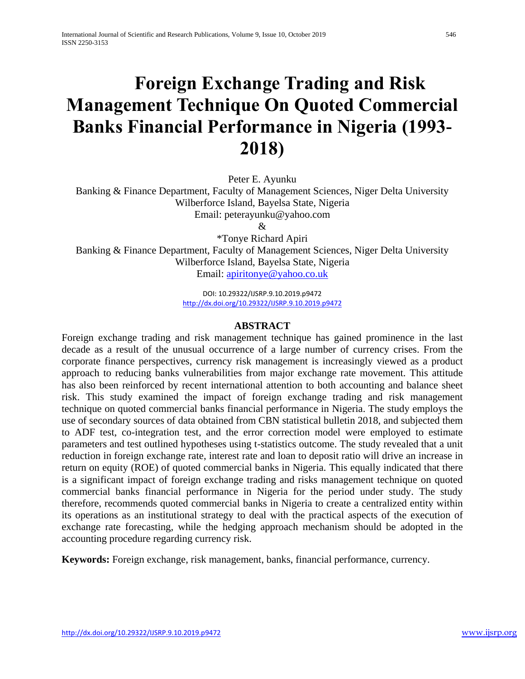# **Foreign Exchange Trading and Risk Management Technique On Quoted Commercial Banks Financial Performance in Nigeria (1993- 2018)**

Peter E. Ayunku

Banking & Finance Department, Faculty of Management Sciences, Niger Delta University Wilberforce Island, Bayelsa State, Nigeria Email: peterayunku@yahoo.com

 $\mathcal{R}_{\mathcal{L}}$ 

\*Tonye Richard Apiri Banking & Finance Department, Faculty of Management Sciences, Niger Delta University Wilberforce Island, Bayelsa State, Nigeria Email: [apiritonye@yahoo.co.uk](mailto:apiritonye@yahoo.co.uk)

> DOI: 10.29322/IJSRP.9.10.2019.p9472 <http://dx.doi.org/10.29322/IJSRP.9.10.2019.p9472>

#### **ABSTRACT**

Foreign exchange trading and risk management technique has gained prominence in the last decade as a result of the unusual occurrence of a large number of currency crises. From the corporate finance perspectives, currency risk management is increasingly viewed as a product approach to reducing banks vulnerabilities from major exchange rate movement. This attitude has also been reinforced by recent international attention to both accounting and balance sheet risk. This study examined the impact of foreign exchange trading and risk management technique on quoted commercial banks financial performance in Nigeria. The study employs the use of secondary sources of data obtained from CBN statistical bulletin 2018, and subjected them to ADF test, co-integration test, and the error correction model were employed to estimate parameters and test outlined hypotheses using t-statistics outcome. The study revealed that a unit reduction in foreign exchange rate, interest rate and loan to deposit ratio will drive an increase in return on equity (ROE) of quoted commercial banks in Nigeria. This equally indicated that there is a significant impact of foreign exchange trading and risks management technique on quoted commercial banks financial performance in Nigeria for the period under study. The study therefore, recommends quoted commercial banks in Nigeria to create a centralized entity within its operations as an institutional strategy to deal with the practical aspects of the execution of exchange rate forecasting, while the hedging approach mechanism should be adopted in the accounting procedure regarding currency risk.

**Keywords:** Foreign exchange, risk management, banks, financial performance, currency.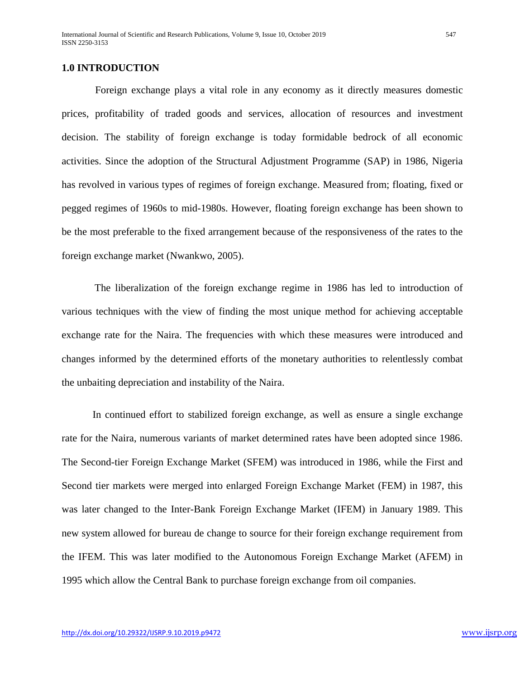#### **1.0 INTRODUCTION**

Foreign exchange plays a vital role in any economy as it directly measures domestic prices, profitability of traded goods and services, allocation of resources and investment decision. The stability of foreign exchange is today formidable bedrock of all economic activities. Since the adoption of the Structural Adjustment Programme (SAP) in 1986, Nigeria has revolved in various types of regimes of foreign exchange. Measured from; floating, fixed or pegged regimes of 1960s to mid-1980s. However, floating foreign exchange has been shown to be the most preferable to the fixed arrangement because of the responsiveness of the rates to the foreign exchange market (Nwankwo, 2005).

The liberalization of the foreign exchange regime in 1986 has led to introduction of various techniques with the view of finding the most unique method for achieving acceptable exchange rate for the Naira. The frequencies with which these measures were introduced and changes informed by the determined efforts of the monetary authorities to relentlessly combat the unbaiting depreciation and instability of the Naira.

In continued effort to stabilized foreign exchange, as well as ensure a single exchange rate for the Naira, numerous variants of market determined rates have been adopted since 1986. The Second-tier Foreign Exchange Market (SFEM) was introduced in 1986, while the First and Second tier markets were merged into enlarged Foreign Exchange Market (FEM) in 1987, this was later changed to the Inter-Bank Foreign Exchange Market (IFEM) in January 1989. This new system allowed for bureau de change to source for their foreign exchange requirement from the IFEM. This was later modified to the Autonomous Foreign Exchange Market (AFEM) in 1995 which allow the Central Bank to purchase foreign exchange from oil companies.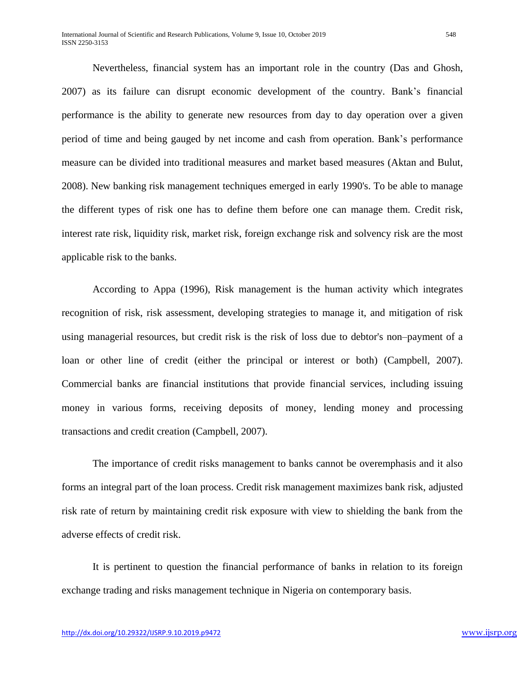Nevertheless, financial system has an important role in the country (Das and Ghosh, 2007) as its failure can disrupt economic development of the country. Bank's financial performance is the ability to generate new resources from day to day operation over a given period of time and being gauged by net income and cash from operation. Bank's performance measure can be divided into traditional measures and market based measures (Aktan and Bulut, 2008). New banking risk management techniques emerged in early 1990's. To be able to manage the different types of risk one has to define them before one can manage them. Credit risk, interest rate risk, liquidity risk, market risk, foreign exchange risk and solvency risk are the most applicable risk to the banks.

According to Appa (1996), Risk management is the human activity which integrates recognition of risk, risk assessment, developing strategies to manage it, and mitigation of risk using managerial resources, but credit risk is the risk of loss due to debtor's non–payment of a loan or other line of credit (either the principal or interest or both) (Campbell, 2007). Commercial banks are financial institutions that provide financial services, including issuing money in various forms, receiving deposits of money, lending money and processing transactions and credit creation (Campbell, 2007).

The importance of credit risks management to banks cannot be overemphasis and it also forms an integral part of the loan process. Credit risk management maximizes bank risk, adjusted risk rate of return by maintaining credit risk exposure with view to shielding the bank from the adverse effects of credit risk.

It is pertinent to question the financial performance of banks in relation to its foreign exchange trading and risks management technique in Nigeria on contemporary basis.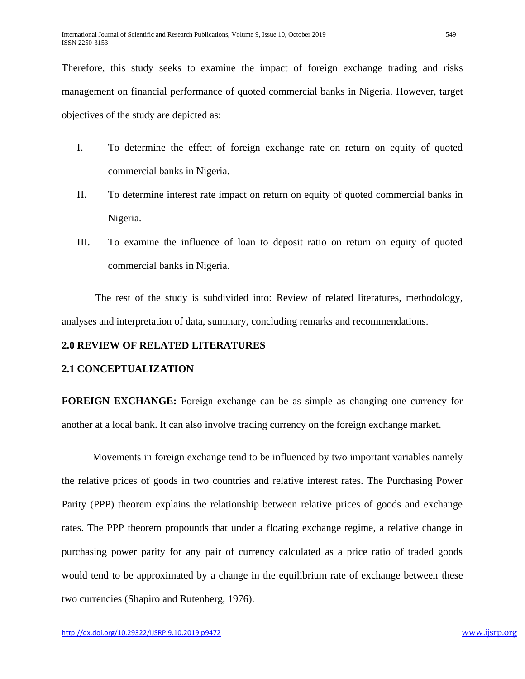Therefore, this study seeks to examine the impact of foreign exchange trading and risks management on financial performance of quoted commercial banks in Nigeria. However, target objectives of the study are depicted as:

- I. To determine the effect of foreign exchange rate on return on equity of quoted commercial banks in Nigeria.
- II. To determine interest rate impact on return on equity of quoted commercial banks in Nigeria.
- III. To examine the influence of loan to deposit ratio on return on equity of quoted commercial banks in Nigeria.

The rest of the study is subdivided into: Review of related literatures, methodology, analyses and interpretation of data, summary, concluding remarks and recommendations.

#### **2.0 REVIEW OF RELATED LITERATURES**

#### **2.1 CONCEPTUALIZATION**

**FOREIGN EXCHANGE:** Foreign exchange can be as simple as changing one currency for another at a local bank. It can also involve trading currency on the foreign exchange market.

Movements in foreign exchange tend to be influenced by two important variables namely the relative prices of goods in two countries and relative interest rates. The Purchasing Power Parity (PPP) theorem explains the relationship between relative prices of goods and exchange rates. The PPP theorem propounds that under a floating exchange regime, a relative change in purchasing power parity for any pair of currency calculated as a price ratio of traded goods would tend to be approximated by a change in the equilibrium rate of exchange between these two currencies (Shapiro and Rutenberg, 1976).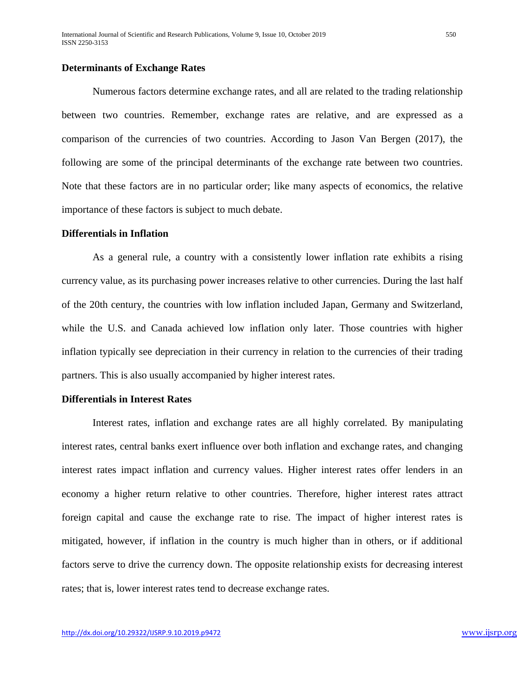#### **Determinants of Exchange Rates**

Numerous factors determine exchange rates, and all are related to the trading relationship between two countries. Remember, exchange rates are relative, and are expressed as a comparison of the currencies of two countries. According to Jason Van Bergen (2017), the following are some of the principal determinants of the exchange rate between two countries. Note that these factors are in no particular order; like many aspects of economics, the relative importance of these factors is subject to much debate.

#### **Differentials in Inflation**

As a general rule, a country with a consistently lower inflation rate exhibits a rising currency value, as its purchasing power increases relative to other currencies. During the last half of the 20th century, the countries with low inflation included Japan, Germany and Switzerland, while the U.S. and Canada achieved low inflation only later. Those countries with higher inflation typically see depreciation in their currency in relation to the currencies of their trading partners. This is also usually accompanied by higher interest rates.

#### **Differentials in Interest Rates**

Interest rates, inflation and exchange rates are all highly correlated. By manipulating interest rates, central banks exert influence over both inflation and exchange rates, and changing interest rates impact inflation and currency values. Higher interest rates offer lenders in an economy a higher return relative to other countries. Therefore, higher interest rates attract foreign capital and cause the exchange rate to rise. The impact of higher interest rates is mitigated, however, if inflation in the country is much higher than in others, or if additional factors serve to drive the currency down. The opposite relationship exists for decreasing interest rates; that is, lower interest rates tend to decrease exchange rates.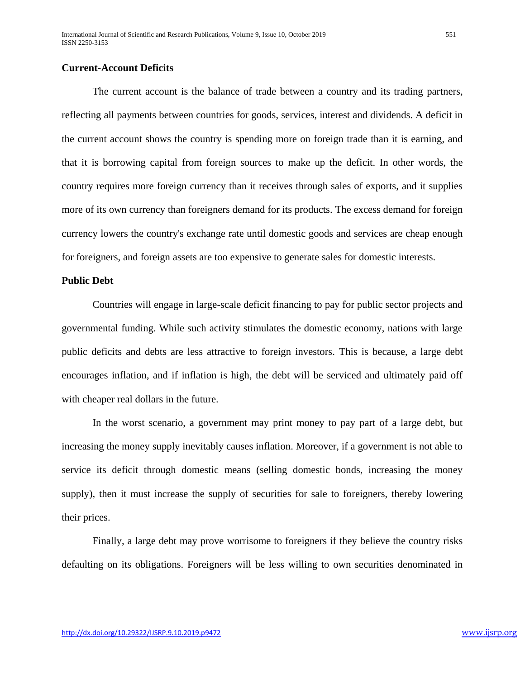#### **Current-Account Deficits**

The current account is the balance of trade between a country and its trading partners, reflecting all payments between countries for goods, services, interest and dividends. A deficit in the current account shows the country is spending more on foreign trade than it is earning, and that it is borrowing capital from foreign sources to make up the deficit. In other words, the country requires more foreign currency than it receives through sales of exports, and it supplies more of its own currency than foreigners demand for its products. The excess demand for foreign currency lowers the country's exchange rate until domestic goods and services are cheap enough for foreigners, and foreign assets are too expensive to generate sales for domestic interests.

#### **Public Debt**

Countries will engage in large-scale deficit financing to pay for public sector projects and governmental funding. While such activity stimulates the domestic economy, nations with large public deficits and debts are less attractive to foreign investors. This is because, a large debt encourages inflation, and if inflation is high, the debt will be serviced and ultimately paid off with cheaper real dollars in the future.

In the worst scenario, a government may print money to pay part of a large debt, but increasing the money supply inevitably causes inflation. Moreover, if a government is not able to service its deficit through domestic means (selling domestic bonds, increasing the money supply), then it must increase the supply of securities for sale to foreigners, thereby lowering their prices.

Finally, a large debt may prove worrisome to foreigners if they believe the country risks defaulting on its obligations. Foreigners will be less willing to own securities denominated in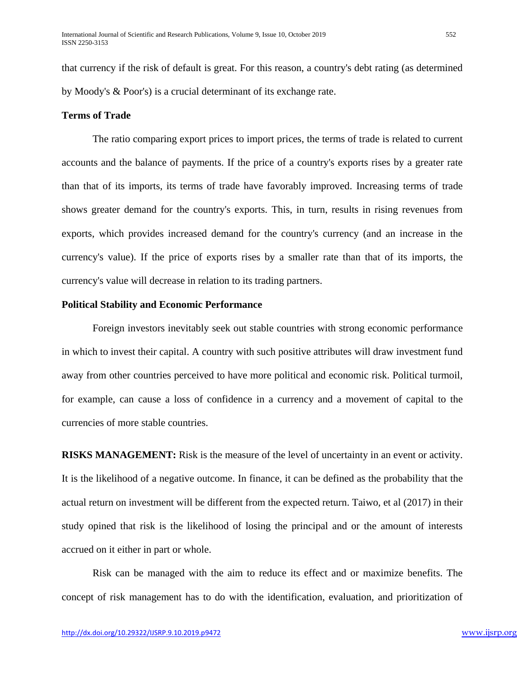that currency if the risk of default is great. For this reason, a country's debt rating (as determined by Moody's & Poor's) is a crucial determinant of its exchange rate.

#### **Terms of Trade**

The ratio comparing export prices to import prices, the terms of trade is related to current accounts and the balance of payments. If the price of a country's exports rises by a greater rate than that of its imports, its terms of trade have favorably improved. Increasing terms of trade shows greater demand for the country's exports. This, in turn, results in rising revenues from exports, which provides increased demand for the country's currency (and an increase in the currency's value). If the price of exports rises by a smaller rate than that of its imports, the currency's value will decrease in relation to its trading partners.

#### **Political Stability and Economic Performance**

Foreign investors inevitably seek out stable countries with strong economic performance in which to invest their capital. A country with such positive attributes will draw investment fund away from other countries perceived to have more political and economic risk. Political turmoil, for example, can cause a loss of confidence in a currency and a movement of capital to the currencies of more stable countries.

**RISKS MANAGEMENT:** Risk is the measure of the level of uncertainty in an event or activity. It is the likelihood of a negative outcome. In finance, it can be defined as the probability that the actual return on investment will be different from the expected return. Taiwo, et al (2017) in their study opined that risk is the likelihood of losing the principal and or the amount of interests accrued on it either in part or whole.

Risk can be managed with the aim to reduce its effect and or maximize benefits. The concept of risk management has to do with the identification, evaluation, and prioritization of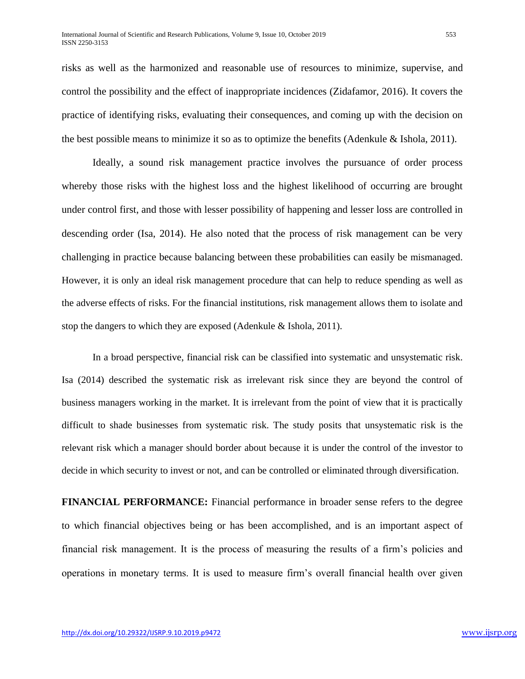risks as well as the harmonized and reasonable use of resources to minimize, supervise, and control the possibility and the effect of inappropriate incidences (Zidafamor, 2016). It covers the practice of identifying risks, evaluating their consequences, and coming up with the decision on the best possible means to minimize it so as to optimize the benefits (Adenkule & Ishola, 2011).

Ideally, a sound risk management practice involves the pursuance of order process whereby those risks with the highest loss and the highest likelihood of occurring are brought under control first, and those with lesser possibility of happening and lesser loss are controlled in descending order (Isa, 2014). He also noted that the process of risk management can be very challenging in practice because balancing between these probabilities can easily be mismanaged. However, it is only an ideal risk management procedure that can help to reduce spending as well as the adverse effects of risks. For the financial institutions, risk management allows them to isolate and stop the dangers to which they are exposed (Adenkule & Ishola, 2011).

In a broad perspective, financial risk can be classified into systematic and unsystematic risk. Isa (2014) described the systematic risk as irrelevant risk since they are beyond the control of business managers working in the market. It is irrelevant from the point of view that it is practically difficult to shade businesses from systematic risk. The study posits that unsystematic risk is the relevant risk which a manager should border about because it is under the control of the investor to decide in which security to invest or not, and can be controlled or eliminated through diversification.

**FINANCIAL PERFORMANCE:** Financial performance in broader sense refers to the degree to which financial objectives being or has been accomplished, and is an important aspect of financial risk management. It is the process of measuring the results of a firm's policies and operations in monetary terms. It is used to measure firm's overall financial health over given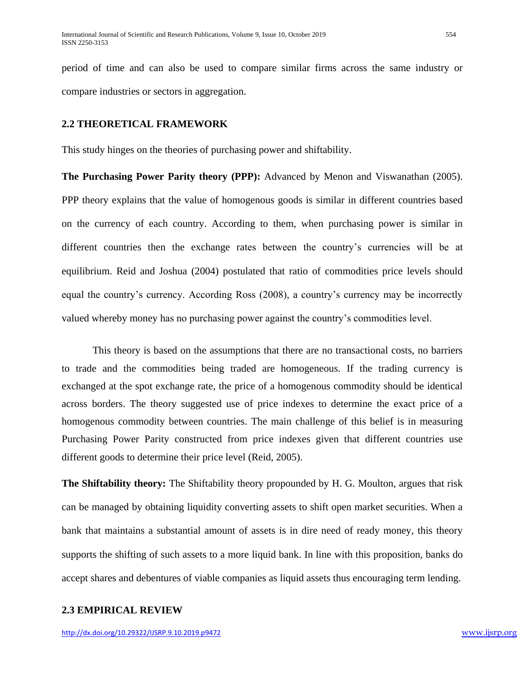period of time and can also be used to compare similar firms across the same industry or compare industries or sectors in aggregation.

#### **2.2 THEORETICAL FRAMEWORK**

This study hinges on the theories of purchasing power and shiftability.

**The Purchasing Power Parity theory (PPP):** Advanced by Menon and Viswanathan (2005). PPP theory explains that the value of homogenous goods is similar in different countries based on the currency of each country. According to them, when purchasing power is similar in different countries then the exchange rates between the country's currencies will be at equilibrium. Reid and Joshua (2004) postulated that ratio of commodities price levels should equal the country's currency. According Ross (2008), a country's currency may be incorrectly valued whereby money has no purchasing power against the country's commodities level.

This theory is based on the assumptions that there are no transactional costs, no barriers to trade and the commodities being traded are homogeneous. If the trading currency is exchanged at the spot exchange rate, the price of a homogenous commodity should be identical across borders. The theory suggested use of price indexes to determine the exact price of a homogenous commodity between countries. The main challenge of this belief is in measuring Purchasing Power Parity constructed from price indexes given that different countries use different goods to determine their price level (Reid, 2005).

**The Shiftability theory:** The Shiftability theory propounded by H. G. Moulton, argues that risk can be managed by obtaining liquidity converting assets to shift open market securities. When a bank that maintains a substantial amount of assets is in dire need of ready money, this theory supports the shifting of such assets to a more liquid bank. In line with this proposition, banks do accept shares and debentures of viable companies as liquid assets thus encouraging term lending.

#### **2.3 EMPIRICAL REVIEW**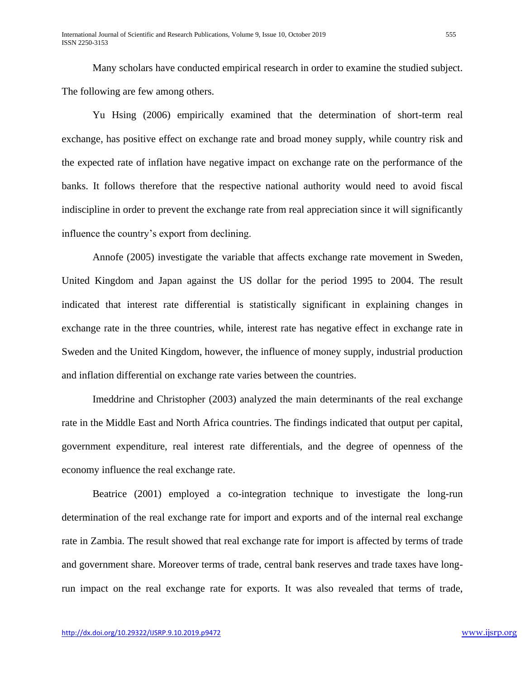Many scholars have conducted empirical research in order to examine the studied subject. The following are few among others.

Yu Hsing (2006) empirically examined that the determination of short-term real exchange, has positive effect on exchange rate and broad money supply, while country risk and the expected rate of inflation have negative impact on exchange rate on the performance of the banks. It follows therefore that the respective national authority would need to avoid fiscal indiscipline in order to prevent the exchange rate from real appreciation since it will significantly influence the country's export from declining.

Annofe (2005) investigate the variable that affects exchange rate movement in Sweden, United Kingdom and Japan against the US dollar for the period 1995 to 2004. The result indicated that interest rate differential is statistically significant in explaining changes in exchange rate in the three countries, while, interest rate has negative effect in exchange rate in Sweden and the United Kingdom, however, the influence of money supply, industrial production and inflation differential on exchange rate varies between the countries.

Imeddrine and Christopher (2003) analyzed the main determinants of the real exchange rate in the Middle East and North Africa countries. The findings indicated that output per capital, government expenditure, real interest rate differentials, and the degree of openness of the economy influence the real exchange rate.

Beatrice (2001) employed a co-integration technique to investigate the long-run determination of the real exchange rate for import and exports and of the internal real exchange rate in Zambia. The result showed that real exchange rate for import is affected by terms of trade and government share. Moreover terms of trade, central bank reserves and trade taxes have longrun impact on the real exchange rate for exports. It was also revealed that terms of trade,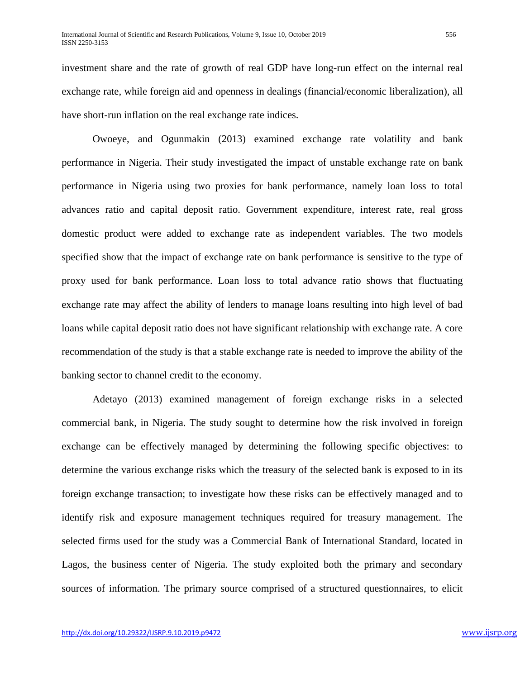investment share and the rate of growth of real GDP have long-run effect on the internal real exchange rate, while foreign aid and openness in dealings (financial/economic liberalization), all have short-run inflation on the real exchange rate indices.

Owoeye, and Ogunmakin (2013) examined exchange rate volatility and bank performance in Nigeria. Their study investigated the impact of unstable exchange rate on bank performance in Nigeria using two proxies for bank performance, namely loan loss to total advances ratio and capital deposit ratio. Government expenditure, interest rate, real gross domestic product were added to exchange rate as independent variables. The two models specified show that the impact of exchange rate on bank performance is sensitive to the type of proxy used for bank performance. Loan loss to total advance ratio shows that fluctuating exchange rate may affect the ability of lenders to manage loans resulting into high level of bad loans while capital deposit ratio does not have significant relationship with exchange rate. A core recommendation of the study is that a stable exchange rate is needed to improve the ability of the banking sector to channel credit to the economy.

Adetayo (2013) examined management of foreign exchange risks in a selected commercial bank, in Nigeria. The study sought to determine how the risk involved in foreign exchange can be effectively managed by determining the following specific objectives: to determine the various exchange risks which the treasury of the selected bank is exposed to in its foreign exchange transaction; to investigate how these risks can be effectively managed and to identify risk and exposure management techniques required for treasury management. The selected firms used for the study was a Commercial Bank of International Standard, located in Lagos, the business center of Nigeria. The study exploited both the primary and secondary sources of information. The primary source comprised of a structured questionnaires, to elicit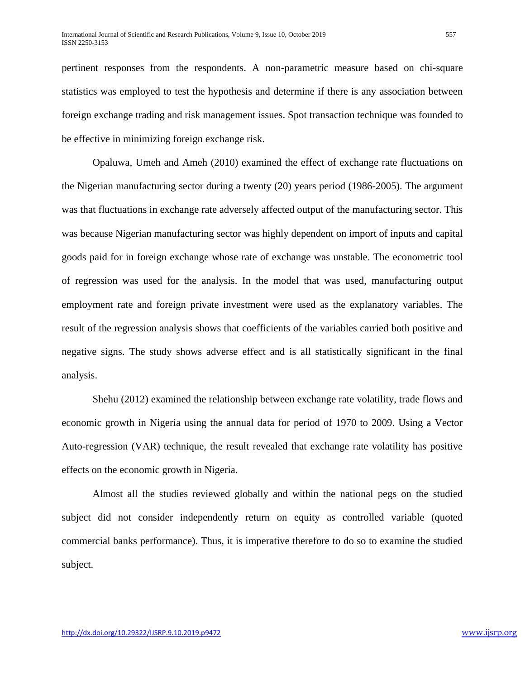pertinent responses from the respondents. A non-parametric measure based on chi-square statistics was employed to test the hypothesis and determine if there is any association between foreign exchange trading and risk management issues. Spot transaction technique was founded to be effective in minimizing foreign exchange risk.

Opaluwa, Umeh and Ameh (2010) examined the effect of exchange rate fluctuations on the Nigerian manufacturing sector during a twenty (20) years period (1986-2005). The argument was that fluctuations in exchange rate adversely affected output of the manufacturing sector. This was because Nigerian manufacturing sector was highly dependent on import of inputs and capital goods paid for in foreign exchange whose rate of exchange was unstable. The econometric tool of regression was used for the analysis. In the model that was used, manufacturing output employment rate and foreign private investment were used as the explanatory variables. The result of the regression analysis shows that coefficients of the variables carried both positive and negative signs. The study shows adverse effect and is all statistically significant in the final analysis.

Shehu (2012) examined the relationship between exchange rate volatility, trade flows and economic growth in Nigeria using the annual data for period of 1970 to 2009. Using a Vector Auto-regression (VAR) technique, the result revealed that exchange rate volatility has positive effects on the economic growth in Nigeria.

Almost all the studies reviewed globally and within the national pegs on the studied subject did not consider independently return on equity as controlled variable (quoted commercial banks performance). Thus, it is imperative therefore to do so to examine the studied subject.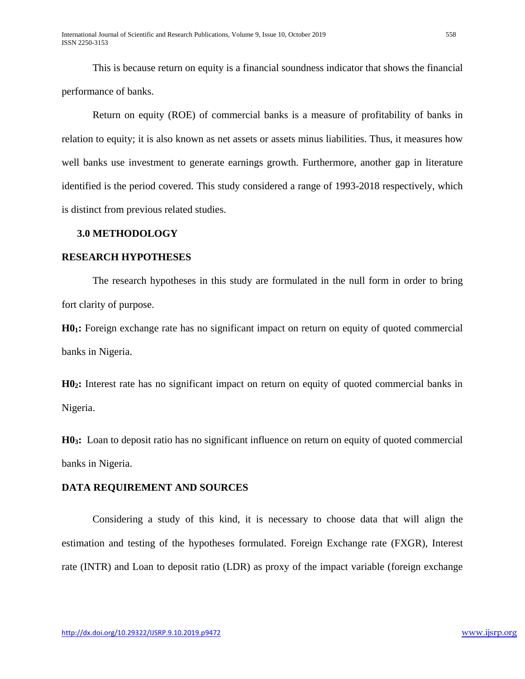This is because return on equity is a financial soundness indicator that shows the financial performance of banks.

Return on equity (ROE) of commercial banks is a measure of profitability of banks in relation to equity; it is also known as net assets or assets minus liabilities. Thus, it measures how well banks use investment to generate earnings growth. Furthermore, another gap in literature identified is the period covered. This study considered a range of 1993-2018 respectively, which is distinct from previous related studies.

#### **3.0 METHODOLOGY**

#### **RESEARCH HYPOTHESES**

The research hypotheses in this study are formulated in the null form in order to bring fort clarity of purpose.

**H01:** Foreign exchange rate has no significant impact on return on equity of quoted commercial banks in Nigeria.

**H02:** Interest rate has no significant impact on return on equity of quoted commercial banks in Nigeria.

**H03:** Loan to deposit ratio has no significant influence on return on equity of quoted commercial banks in Nigeria.

#### **DATA REQUIREMENT AND SOURCES**

Considering a study of this kind, it is necessary to choose data that will align the estimation and testing of the hypotheses formulated. Foreign Exchange rate (FXGR), Interest rate (INTR) and Loan to deposit ratio (LDR) as proxy of the impact variable (foreign exchange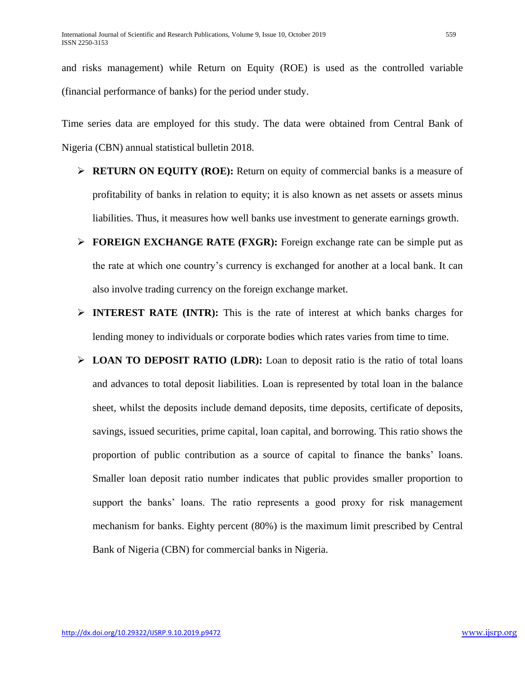and risks management) while Return on Equity (ROE) is used as the controlled variable (financial performance of banks) for the period under study.

Time series data are employed for this study. The data were obtained from Central Bank of Nigeria (CBN) annual statistical bulletin 2018.

- **RETURN ON EQUITY (ROE):** Return on equity of commercial banks is a measure of profitability of banks in relation to equity; it is also known as net assets or assets minus liabilities. Thus, it measures how well banks use investment to generate earnings growth.
- **FOREIGN EXCHANGE RATE (FXGR):** Foreign exchange rate can be simple put as the rate at which one country's currency is exchanged for another at a local bank. It can also involve trading currency on the foreign exchange market.
- **INTEREST RATE (INTR):** This is the rate of interest at which banks charges for lending money to individuals or corporate bodies which rates varies from time to time.
- **LOAN TO DEPOSIT RATIO (LDR):** Loan to deposit ratio is the ratio of total loans and advances to total deposit liabilities. Loan is represented by total loan in the balance sheet, whilst the deposits include demand deposits, time deposits, certificate of deposits, savings, issued securities, prime capital, loan capital, and borrowing. This ratio shows the proportion of public contribution as a source of capital to finance the banks' loans. Smaller loan deposit ratio number indicates that public provides smaller proportion to support the banks' loans. The ratio represents a good proxy for risk management mechanism for banks. Eighty percent (80%) is the maximum limit prescribed by Central Bank of Nigeria (CBN) for commercial banks in Nigeria.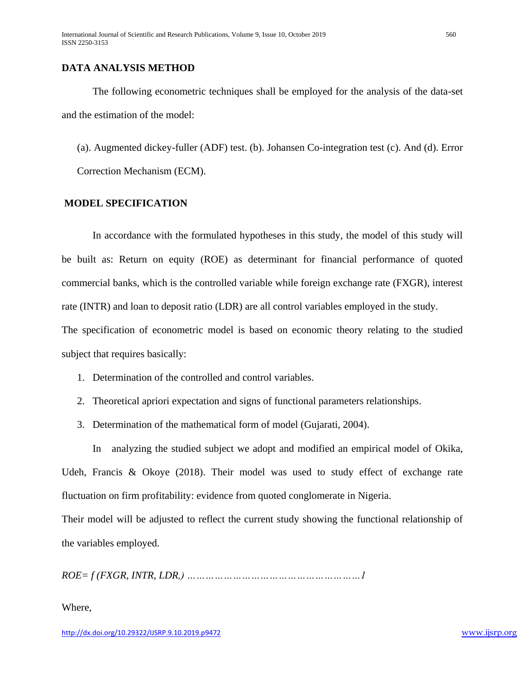### **DATA ANALYSIS METHOD**

The following econometric techniques shall be employed for the analysis of the data-set and the estimation of the model:

(a). Augmented dickey-fuller (ADF) test. (b). Johansen Co-integration test (c). And (d). Error Correction Mechanism (ECM).

#### **MODEL SPECIFICATION**

In accordance with the formulated hypotheses in this study, the model of this study will be built as: Return on equity (ROE) as determinant for financial performance of quoted commercial banks, which is the controlled variable while foreign exchange rate (FXGR), interest rate (INTR) and loan to deposit ratio (LDR) are all control variables employed in the study.

The specification of econometric model is based on economic theory relating to the studied subject that requires basically:

- 1. Determination of the controlled and control variables.
- 2. Theoretical apriori expectation and signs of functional parameters relationships.
- 3. Determination of the mathematical form of model (Gujarati, 2004).

In analyzing the studied subject we adopt and modified an empirical model of Okika, Udeh, Francis & Okoye (2018). Their model was used to study effect of exchange rate fluctuation on firm profitability: evidence from quoted conglomerate in Nigeria.

Their model will be adjusted to reflect the current study showing the functional relationship of the variables employed.

*ROE= f (FXGR, INTR, LDR,) …………………………………………………1*

#### Where,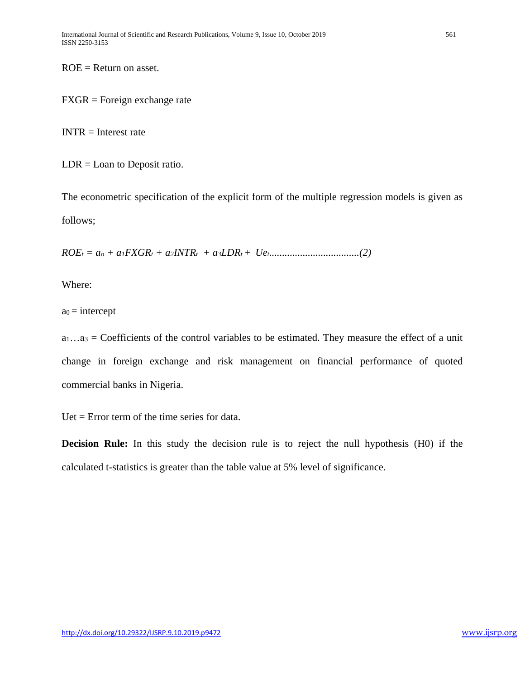$ROE = Return$  on asset.

FXGR = Foreign exchange rate

 $INTER = Interest rate$ 

 $LDR =$ Loan to Deposit ratio.

The econometric specification of the explicit form of the multiple regression models is given as follows;

*ROE<sup>t</sup> = a<sup>o</sup> + a1FXGR<sup>t</sup> + a2INTRt + a3LDRt + Uet...................................(2)*

Where:

 $a_0$  = intercept

 $a_1...a_3$  = Coefficients of the control variables to be estimated. They measure the effect of a unit change in foreign exchange and risk management on financial performance of quoted commercial banks in Nigeria.

Uet  $=$  Error term of the time series for data.

**Decision Rule:** In this study the decision rule is to reject the null hypothesis (H0) if the calculated t-statistics is greater than the table value at 5% level of significance.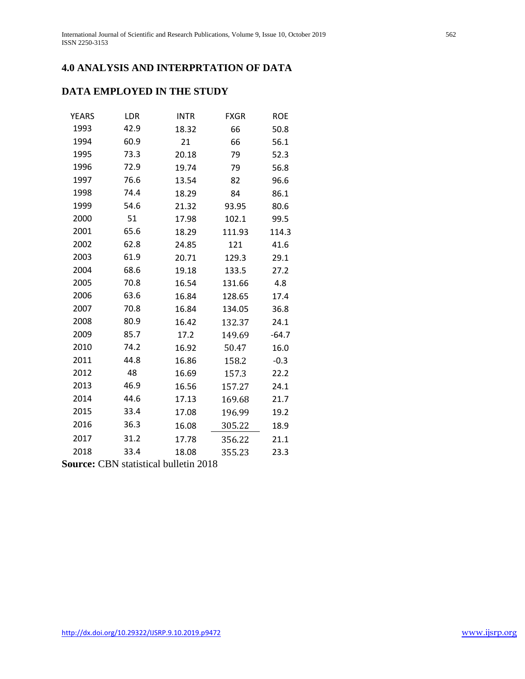# **4.0 ANALYSIS AND INTERPRTATION OF DATA**

# **DATA EMPLOYED IN THE STUDY**

| <b>YEARS</b> | LDR  | <b>INTR</b> | <b>FXGR</b> | <b>ROE</b> |
|--------------|------|-------------|-------------|------------|
| 1993         | 42.9 | 18.32       | 66          | 50.8       |
| 1994         | 60.9 | 21          | 66          | 56.1       |
| 1995         | 73.3 | 20.18       | 79          | 52.3       |
| 1996         | 72.9 | 19.74       | 79          | 56.8       |
| 1997         | 76.6 | 13.54       | 82          | 96.6       |
| 1998         | 74.4 | 18.29       | 84          | 86.1       |
| 1999         | 54.6 | 21.32       | 93.95       | 80.6       |
| 2000         | 51   | 17.98       | 102.1       | 99.5       |
| 2001         | 65.6 | 18.29       | 111.93      | 114.3      |
| 2002         | 62.8 | 24.85       | 121         | 41.6       |
| 2003         | 61.9 | 20.71       | 129.3       | 29.1       |
| 2004         | 68.6 | 19.18       | 133.5       | 27.2       |
| 2005         | 70.8 | 16.54       | 131.66      | 4.8        |
| 2006         | 63.6 | 16.84       | 128.65      | 17.4       |
| 2007         | 70.8 | 16.84       | 134.05      | 36.8       |
| 2008         | 80.9 | 16.42       | 132.37      | 24.1       |
| 2009         | 85.7 | 17.2        | 149.69      | $-64.7$    |
| 2010         | 74.2 | 16.92       | 50.47       | 16.0       |
| 2011         | 44.8 | 16.86       | 158.2       | $-0.3$     |
| 2012         | 48   | 16.69       | 157.3       | 22.2       |
| 2013         | 46.9 | 16.56       | 157.27      | 24.1       |
| 2014         | 44.6 | 17.13       | 169.68      | 21.7       |
| 2015         | 33.4 | 17.08       | 196.99      | 19.2       |
| 2016         | 36.3 | 16.08       | 305.22      | 18.9       |
| 2017         | 31.2 | 17.78       | 356.22      | 21.1       |
| 2018         | 33.4 | 18.08       | 355.23      | 23.3       |

**Source:** CBN statistical bulletin 2018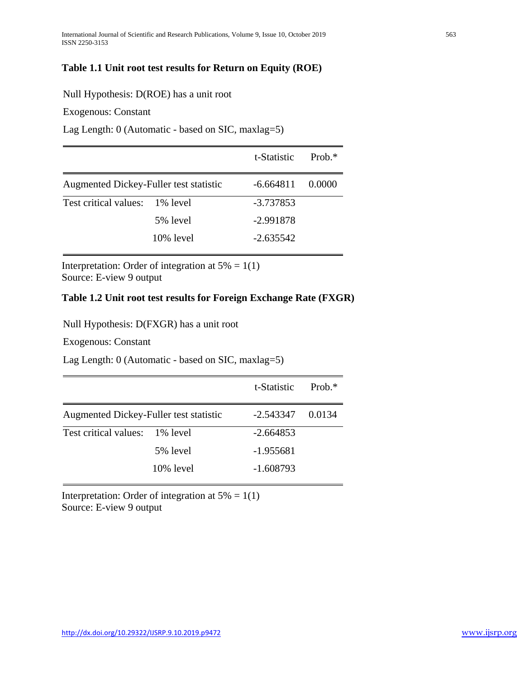## **Table 1.1 Unit root test results for Return on Equity (ROE)**

#### Null Hypothesis: D(ROE) has a unit root

Exogenous: Constant

Lag Length: 0 (Automatic - based on SIC, maxlag=5)

|                                        |           | t-Statistic | Prob $*$ |
|----------------------------------------|-----------|-------------|----------|
| Augmented Dickey-Fuller test statistic |           | $-6.664811$ | 0.0000   |
| Test critical values: 1% level         |           | -3.737853   |          |
|                                        | 5% level  | $-2.991878$ |          |
|                                        | 10% level | $-2.635542$ |          |

Interpretation: Order of integration at  $5\% = 1(1)$ Source: E-view 9 output

#### **Table 1.2 Unit root test results for Foreign Exchange Rate (FXGR)**

Null Hypothesis: D(FXGR) has a unit root

Exogenous: Constant

Lag Length: 0 (Automatic - based on SIC, maxlag=5)

|                                        |           | t-Statistic | Prob $*$ |
|----------------------------------------|-----------|-------------|----------|
| Augmented Dickey-Fuller test statistic |           | $-2.543347$ | 0.0134   |
| Test critical values: 1% level         |           | $-2.664853$ |          |
|                                        | 5% level  | $-1.955681$ |          |
|                                        | 10% level | $-1.608793$ |          |

Interpretation: Order of integration at  $5\% = 1(1)$ Source: E-view 9 output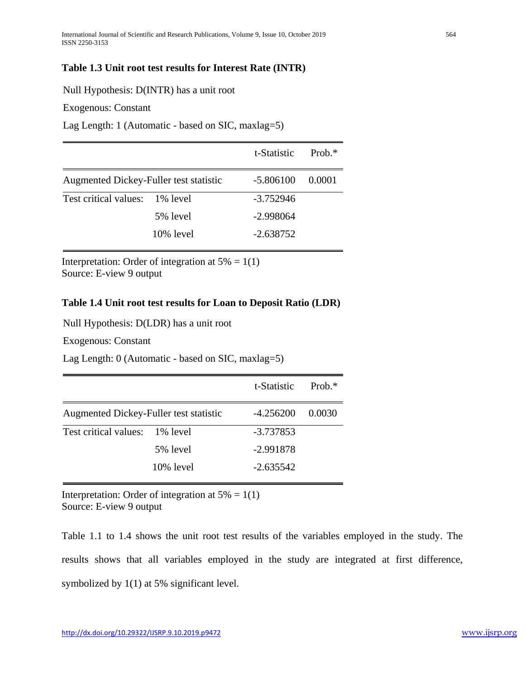### **Table 1.3 Unit root test results for Interest Rate (INTR)**

Null Hypothesis: D(INTR) has a unit root

Exogenous: Constant

Lag Length: 1 (Automatic - based on SIC, maxlag=5)

|                                        |           | t-Statistic | Prob. $*$ |
|----------------------------------------|-----------|-------------|-----------|
| Augmented Dickey-Fuller test statistic |           | $-5.806100$ | 0.0001    |
| Test critical values: 1% level         |           | $-3.752946$ |           |
|                                        | 5% level  | $-2.998064$ |           |
|                                        | 10% level | $-2.638752$ |           |

Interpretation: Order of integration at  $5\% = 1(1)$ Source: E-view 9 output

#### **Table 1.4 Unit root test results for Loan to Deposit Ratio (LDR)**

Null Hypothesis: D(LDR) has a unit root

Exogenous: Constant

Lag Length: 0 (Automatic - based on SIC, maxlag=5)

|                                        |              | t-Statistic | Prob $*$ |
|----------------------------------------|--------------|-------------|----------|
| Augmented Dickey-Fuller test statistic |              | $-4.256200$ | 0.0030   |
| Test critical values:                  | 1% level     | $-3.737853$ |          |
|                                        | 5% level     | $-2.991878$ |          |
|                                        | $10\%$ level | $-2.635542$ |          |

Interpretation: Order of integration at  $5\% = 1(1)$ Source: E-view 9 output

Table 1.1 to 1.4 shows the unit root test results of the variables employed in the study. The results shows that all variables employed in the study are integrated at first difference, symbolized by 1(1) at 5% significant level.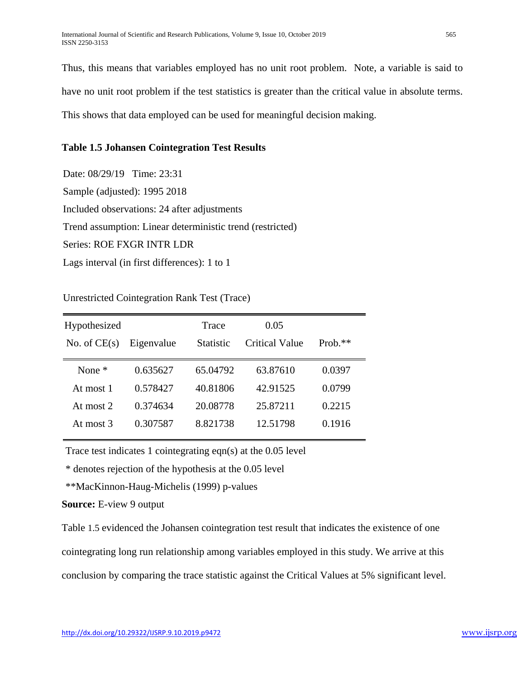Thus, this means that variables employed has no unit root problem. Note, a variable is said to have no unit root problem if the test statistics is greater than the critical value in absolute terms. This shows that data employed can be used for meaningful decision making.

### **Table 1.5 Johansen Cointegration Test Results**

Date: 08/29/19 Time: 23:31 Sample (adjusted): 1995 2018 Included observations: 24 after adjustments Trend assumption: Linear deterministic trend (restricted) Series: ROE FXGR INTR LDR Lags interval (in first differences): 1 to 1

Unrestricted Cointegration Rank Test (Trace)

| Hypothesized   |            | Trace            | 0.05           |            |
|----------------|------------|------------------|----------------|------------|
| No. of $CE(s)$ | Eigenvalue | <b>Statistic</b> | Critical Value | Prob. $**$ |
| None $*$       | 0.635627   | 65.04792         | 63.87610       | 0.0397     |
| At most 1      | 0.578427   | 40.81806         | 42.91525       | 0.0799     |
| At most $2$    | 0.374634   | 20.08778         | 25.87211       | 0.2215     |
| At most 3      | 0.307587   | 8.821738         | 12.51798       | 0.1916     |

Trace test indicates 1 cointegrating eqn(s) at the 0.05 level

\* denotes rejection of the hypothesis at the 0.05 level

\*\*MacKinnon-Haug-Michelis (1999) p-values

**Source:** E-view 9 output

Table 1.5 evidenced the Johansen cointegration test result that indicates the existence of one

cointegrating long run relationship among variables employed in this study. We arrive at this

conclusion by comparing the trace statistic against the Critical Values at 5% significant level.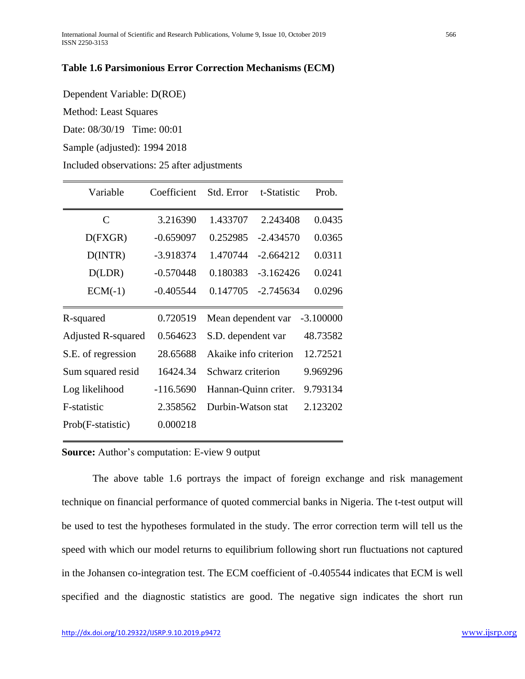#### **Table 1.6 Parsimonious Error Correction Mechanisms (ECM)**

Dependent Variable: D(ROE)

Method: Least Squares

Date: 08/30/19 Time: 00:01

Sample (adjusted): 1994 2018

Included observations: 25 after adjustments

| Variable                  | Coefficient | Std. Error            | t-Statistic | Prob.       |
|---------------------------|-------------|-----------------------|-------------|-------------|
| $\mathsf{C}$              | 3.216390    | 1.433707              | 2.243408    | 0.0435      |
| D(FXGR)                   | $-0.659097$ | 0.252985              | $-2.434570$ | 0.0365      |
| D(INTER)                  | -3.918374   | 1.470744              | $-2.664212$ | 0.0311      |
| D(LDR)                    | $-0.570448$ | 0.180383              | $-3.162426$ | 0.0241      |
| $ECM(-1)$                 | $-0.405544$ | 0.147705              | $-2.745634$ | 0.0296      |
| R-squared                 | 0.720519    | Mean dependent var    |             | $-3.100000$ |
| <b>Adjusted R-squared</b> | 0.564623    | S.D. dependent var    |             | 48.73582    |
| S.E. of regression        | 28.65688    | Akaike info criterion |             | 12.72521    |
| Sum squared resid         | 16424.34    | Schwarz criterion     |             | 9.969296    |
| Log likelihood            | $-116.5690$ | Hannan-Quinn criter.  |             | 9.793134    |
| F-statistic               | 2.358562    | Durbin-Watson stat    |             | 2.123202    |
| Prob(F-statistic)         | 0.000218    |                       |             |             |

**Source:** Author's computation: E-view 9 output

The above table 1.6 portrays the impact of foreign exchange and risk management technique on financial performance of quoted commercial banks in Nigeria. The t-test output will be used to test the hypotheses formulated in the study. The error correction term will tell us the speed with which our model returns to equilibrium following short run fluctuations not captured in the Johansen co-integration test. The ECM coefficient of -0.405544 indicates that ECM is well specified and the diagnostic statistics are good. The negative sign indicates the short run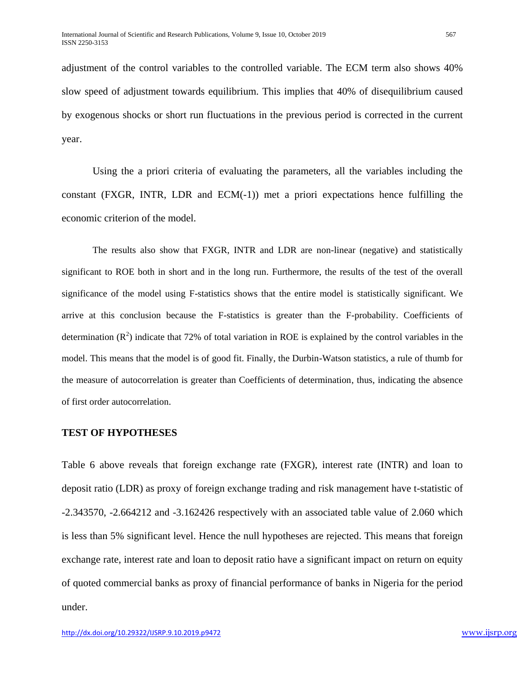adjustment of the control variables to the controlled variable. The ECM term also shows 40% slow speed of adjustment towards equilibrium. This implies that 40% of disequilibrium caused by exogenous shocks or short run fluctuations in the previous period is corrected in the current year.

Using the a priori criteria of evaluating the parameters, all the variables including the constant (FXGR, INTR, LDR and ECM(-1)) met a priori expectations hence fulfilling the economic criterion of the model.

The results also show that FXGR, INTR and LDR are non-linear (negative) and statistically significant to ROE both in short and in the long run. Furthermore, the results of the test of the overall significance of the model using F-statistics shows that the entire model is statistically significant. We arrive at this conclusion because the F-statistics is greater than the F-probability. Coefficients of determination  $(R^2)$  indicate that 72% of total variation in ROE is explained by the control variables in the model. This means that the model is of good fit. Finally, the Durbin-Watson statistics, a rule of thumb for the measure of autocorrelation is greater than Coefficients of determination, thus, indicating the absence of first order autocorrelation.

#### **TEST OF HYPOTHESES**

Table 6 above reveals that foreign exchange rate (FXGR), interest rate (INTR) and loan to deposit ratio (LDR) as proxy of foreign exchange trading and risk management have t-statistic of -2.343570, -2.664212 and -3.162426 respectively with an associated table value of 2.060 which is less than 5% significant level. Hence the null hypotheses are rejected. This means that foreign exchange rate, interest rate and loan to deposit ratio have a significant impact on return on equity of quoted commercial banks as proxy of financial performance of banks in Nigeria for the period under.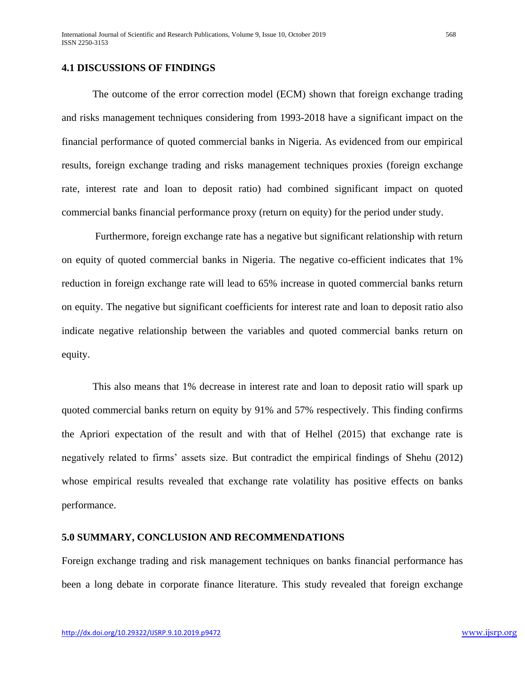#### **4.1 DISCUSSIONS OF FINDINGS**

The outcome of the error correction model (ECM) shown that foreign exchange trading and risks management techniques considering from 1993-2018 have a significant impact on the financial performance of quoted commercial banks in Nigeria. As evidenced from our empirical results, foreign exchange trading and risks management techniques proxies (foreign exchange rate, interest rate and loan to deposit ratio) had combined significant impact on quoted commercial banks financial performance proxy (return on equity) for the period under study.

Furthermore, foreign exchange rate has a negative but significant relationship with return on equity of quoted commercial banks in Nigeria. The negative co-efficient indicates that 1% reduction in foreign exchange rate will lead to 65% increase in quoted commercial banks return on equity. The negative but significant coefficients for interest rate and loan to deposit ratio also indicate negative relationship between the variables and quoted commercial banks return on equity.

This also means that 1% decrease in interest rate and loan to deposit ratio will spark up quoted commercial banks return on equity by 91% and 57% respectively. This finding confirms the Apriori expectation of the result and with that of Helhel (2015) that exchange rate is negatively related to firms' assets size. But contradict the empirical findings of Shehu (2012) whose empirical results revealed that exchange rate volatility has positive effects on banks performance.

#### **5.0 SUMMARY, CONCLUSION AND RECOMMENDATIONS**

Foreign exchange trading and risk management techniques on banks financial performance has been a long debate in corporate finance literature. This study revealed that foreign exchange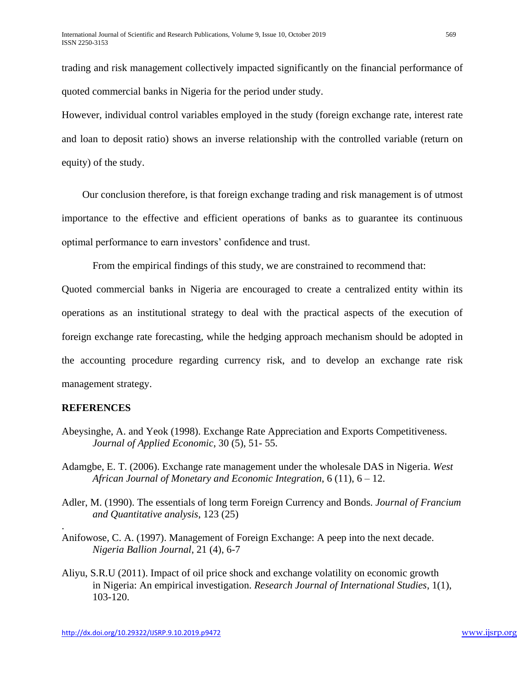trading and risk management collectively impacted significantly on the financial performance of quoted commercial banks in Nigeria for the period under study.

However, individual control variables employed in the study (foreign exchange rate, interest rate and loan to deposit ratio) shows an inverse relationship with the controlled variable (return on equity) of the study.

 Our conclusion therefore, is that foreign exchange trading and risk management is of utmost importance to the effective and efficient operations of banks as to guarantee its continuous optimal performance to earn investors' confidence and trust.

From the empirical findings of this study, we are constrained to recommend that:

Quoted commercial banks in Nigeria are encouraged to create a centralized entity within its operations as an institutional strategy to deal with the practical aspects of the execution of foreign exchange rate forecasting, while the hedging approach mechanism should be adopted in the accounting procedure regarding currency risk, and to develop an exchange rate risk management strategy.

#### **REFERENCES**

.

- Abeysinghe, A. and Yeok (1998). Exchange Rate Appreciation and Exports Competitiveness*. Journal of Applied Economic*, 30 (5), 51- 55.
- Adamgbe, E. T. (2006). Exchange rate management under the wholesale DAS in Nigeria. *West African Journal of Monetary and Economic Integration*, 6 (11), 6 – 12.
- Adler, M. (1990). The essentials of long term Foreign Currency and Bonds. *Journal of Francium and Quantitative analysis*, 123 (25)
- Anifowose, C. A. (1997). Management of Foreign Exchange: A peep into the next decade. *Nigeria Ballion Journal*, 21 (4), 6-7
- Aliyu, S.R.U (2011). Impact of oil price shock and exchange volatility on economic growth in Nigeria: An empirical investigation. *Research Journal of International Studies*, 1(1), 103-120.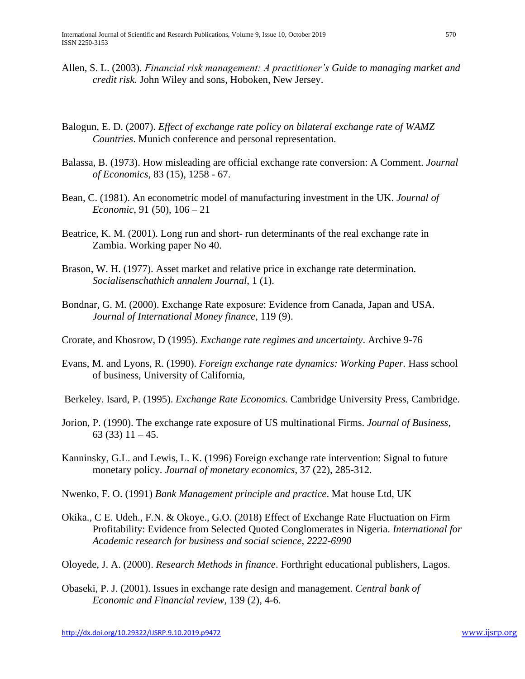- Allen, S. L. (2003). *Financial risk management: A practitioner's Guide to managing market and credit risk.* John Wiley and sons, Hoboken, New Jersey.
- Balogun, E. D. (2007). *Effect of exchange rate policy on bilateral exchange rate of WAMZ Countries*. Munich conference and personal representation.
- Balassa, B. (1973). How misleading are official exchange rate conversion: A Comment. *Journal of Economics*, 83 (15), 1258 - 67.
- Bean, C. (1981). An econometric model of manufacturing investment in the UK. *Journal of Economic*, 91 (50), 106 – 21
- Beatrice, K. M. (2001). Long run and short- run determinants of the real exchange rate in Zambia. Working paper No 40.
- Brason, W. H. (1977). Asset market and relative price in exchange rate determination. *Socialisenschathich annalem Journal*, 1 (1).
- Bondnar, G. M. (2000). Exchange Rate exposure: Evidence from Canada, Japan and USA. *Journal of International Money finance*, 119 (9).
- Crorate, and Khosrow, D (1995). *Exchange rate regimes and uncertainty*. Archive 9-76
- Evans, M. and Lyons, R. (1990). *Foreign exchange rate dynamics: Working Paper.* Hass school of business, University of California,
- Berkeley. Isard, P. (1995). *Exchange Rate Economics.* Cambridge University Press, Cambridge.
- Jorion, P. (1990). The exchange rate exposure of US multinational Firms. *Journal of Business*, 63 (33) 11 – 45.
- Kanninsky, G.L. and Lewis, L. K. (1996) Foreign exchange rate intervention: Signal to future monetary policy. *Journal of monetary economics*, 37 (22), 285-312.
- Nwenko, F. O. (1991) *Bank Management principle and practice*. Mat house Ltd, UK
- Okika., C E. Udeh., F.N. & Okoye., G.O. (2018) Effect of Exchange Rate Fluctuation on Firm Profitability: Evidence from Selected Quoted Conglomerates in Nigeria. *International for Academic research for business and social science, 2222-6990*
- Oloyede, J. A. (2000). *Research Methods in finance*. Forthright educational publishers, Lagos.
- Obaseki, P. J. (2001). Issues in exchange rate design and management. *Central bank of Economic and Financial review,* 139 (2), 4-6.